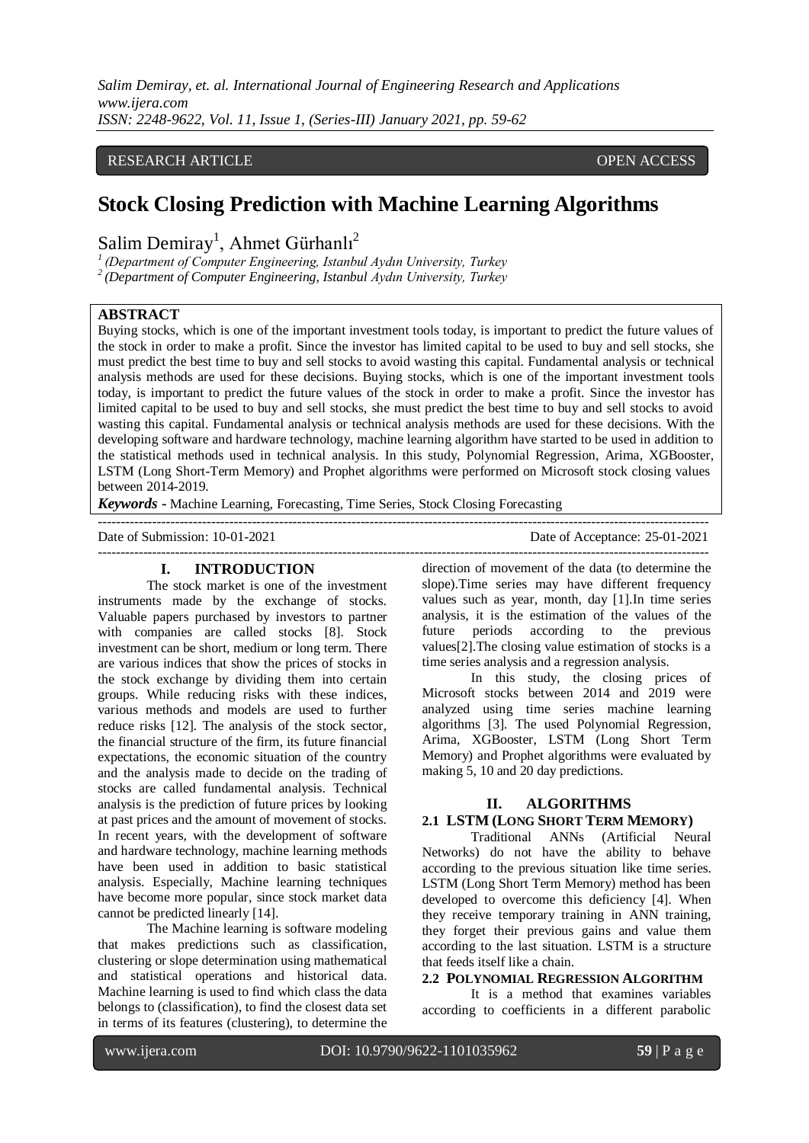*Salim Demiray, et. al. International Journal of Engineering Research and Applications www.ijera.com ISSN: 2248-9622, Vol. 11, Issue 1, (Series-III) January 2021, pp. 59-62*

## RESEARCH ARTICLE **CONSERVERS** OPEN ACCESS

# **Stock Closing Prediction with Machine Learning Algorithms**

Salim Demiray<sup>1</sup>, Ahmet Gürhanlı<sup>2</sup>

*1 (Department of Computer Engineering, Istanbul Aydın University, Turkey*

*2 (Department of Computer Engineering, Istanbul Aydın University, Turkey*

# **ABSTRACT**

Buying stocks, which is one of the important investment tools today, is important to predict the future values of the stock in order to make a profit. Since the investor has limited capital to be used to buy and sell stocks, she must predict the best time to buy and sell stocks to avoid wasting this capital. Fundamental analysis or technical analysis methods are used for these decisions. Buying stocks, which is one of the important investment tools today, is important to predict the future values of the stock in order to make a profit. Since the investor has limited capital to be used to buy and sell stocks, she must predict the best time to buy and sell stocks to avoid wasting this capital. Fundamental analysis or technical analysis methods are used for these decisions. With the developing software and hardware technology, machine learning algorithm have started to be used in addition to the statistical methods used in technical analysis. In this study, Polynomial Regression, Arima, XGBooster, LSTM (Long Short-Term Memory) and Prophet algorithms were performed on Microsoft stock closing values between 2014-2019.

---------------------------------------------------------------------------------------------------------------------------------------

*Keywords* **-** Machine Learning, Forecasting, Time Series, Stock Closing Forecasting

Date of Submission: 10-01-2021 Date of Acceptance: 25-01-2021

--------------------------------------------------------------------------------------------------------------------------------------- **I. INTRODUCTION**

The stock market is one of the investment instruments made by the exchange of stocks. Valuable papers purchased by investors to partner with companies are called stocks [8]. Stock investment can be short, medium or long term. There are various indices that show the prices of stocks in the stock exchange by dividing them into certain groups. While reducing risks with these indices, various methods and models are used to further reduce risks [12]. The analysis of the stock sector, the financial structure of the firm, its future financial expectations, the economic situation of the country and the analysis made to decide on the trading of stocks are called fundamental analysis. Technical analysis is the prediction of future prices by looking at past prices and the amount of movement of stocks. In recent years, with the development of software and hardware technology, machine learning methods have been used in addition to basic statistical analysis. Especially, Machine learning techniques have become more popular, since stock market data cannot be predicted linearly [14].

The Machine learning is software modeling that makes predictions such as classification, clustering or slope determination using mathematical and statistical operations and historical data. Machine learning is used to find which class the data belongs to (classification), to find the closest data set in terms of its features (clustering), to determine the

direction of movement of the data (to determine the slope).Time series may have different frequency values such as year, month, day [1].In time series analysis, it is the estimation of the values of the future periods according to the previous values[2].The closing value estimation of stocks is a time series analysis and a regression analysis.

In this study, the closing prices of Microsoft stocks between 2014 and 2019 were analyzed using time series machine learning algorithms [3]. The used Polynomial Regression, Arima, XGBooster, LSTM (Long Short Term Memory) and Prophet algorithms were evaluated by making 5, 10 and 20 day predictions.

#### **II. ALGORITHMS**

# **2.1 LSTM (LONG SHORT TERM MEMORY)**

Traditional ANNs (Artificial Neural Networks) do not have the ability to behave according to the previous situation like time series. LSTM (Long Short Term Memory) method has been developed to overcome this deficiency [4]. When they receive temporary training in ANN training, they forget their previous gains and value them according to the last situation. LSTM is a structure that feeds itself like a chain.

## **2.2 POLYNOMIAL REGRESSION ALGORITHM**

It is a method that examines variables according to coefficients in a different parabolic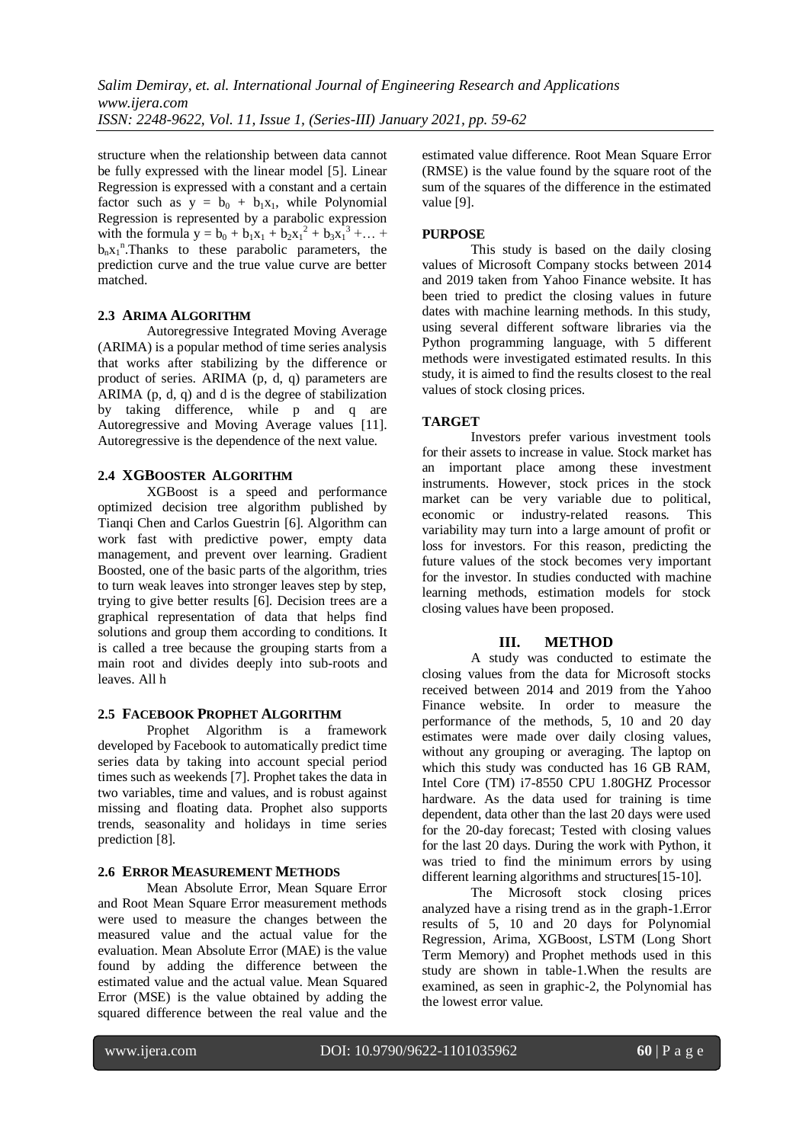structure when the relationship between data cannot be fully expressed with the linear model [5]. Linear Regression is expressed with a constant and a certain factor such as  $y = b_0 + b_1x_1$ , while Polynomial Regression is represented by a parabolic expression with the formula  $y = b_0 + b_1x_1 + b_2x_1^2 + b_3x_1^3 + ...$  $b_n x_1$ <sup>n</sup>. Thanks to these parabolic parameters, the prediction curve and the true value curve are better matched.

## **2.3 ARIMA ALGORITHM**

Autoregressive Integrated Moving Average (ARIMA) is a popular method of time series analysis that works after stabilizing by the difference or product of series. ARIMA (p, d, q) parameters are ARIMA (p, d, q) and d is the degree of stabilization by taking difference, while p and q are Autoregressive and Moving Average values [11]. Autoregressive is the dependence of the next value.

## **2.4 XGBOOSTER ALGORITHM**

XGBoost is a speed and performance optimized decision tree algorithm published by Tianqi Chen and Carlos Guestrin [6]. Algorithm can work fast with predictive power, empty data management, and prevent over learning. Gradient Boosted, one of the basic parts of the algorithm, tries to turn weak leaves into stronger leaves step by step, trying to give better results [6]. Decision trees are a graphical representation of data that helps find solutions and group them according to conditions. It is called a tree because the grouping starts from a main root and divides deeply into sub-roots and leaves. All h

## **2.5 FACEBOOK PROPHET ALGORITHM**

Prophet Algorithm is a framework developed by Facebook to automatically predict time series data by taking into account special period times such as weekends [7]. Prophet takes the data in two variables, time and values, and is robust against missing and floating data. Prophet also supports trends, seasonality and holidays in time series prediction [8].

## **2.6 ERROR MEASUREMENT METHODS**

Mean Absolute Error, Mean Square Error and Root Mean Square Error measurement methods were used to measure the changes between the measured value and the actual value for the evaluation. Mean Absolute Error (MAE) is the value found by adding the difference between the estimated value and the actual value. Mean Squared Error (MSE) is the value obtained by adding the squared difference between the real value and the

estimated value difference. Root Mean Square Error (RMSE) is the value found by the square root of the sum of the squares of the difference in the estimated value [9].

## **PURPOSE**

This study is based on the daily closing values of Microsoft Company stocks between 2014 and 2019 taken from Yahoo Finance website. It has been tried to predict the closing values in future dates with machine learning methods. In this study, using several different software libraries via the Python programming language, with 5 different methods were investigated estimated results. In this study, it is aimed to find the results closest to the real values of stock closing prices.

## **TARGET**

Investors prefer various investment tools for their assets to increase in value. Stock market has an important place among these investment instruments. However, stock prices in the stock market can be very variable due to political, economic or industry-related reasons. This variability may turn into a large amount of profit or loss for investors. For this reason, predicting the future values of the stock becomes very important for the investor. In studies conducted with machine learning methods, estimation models for stock closing values have been proposed.

## **III. METHOD**

A study was conducted to estimate the closing values from the data for Microsoft stocks received between 2014 and 2019 from the Yahoo Finance website. In order to measure the performance of the methods, 5, 10 and 20 day estimates were made over daily closing values, without any grouping or averaging. The laptop on which this study was conducted has 16 GB RAM, Intel Core (TM) i7-8550 CPU 1.80GHZ Processor hardware. As the data used for training is time dependent, data other than the last 20 days were used for the 20-day forecast; Tested with closing values for the last 20 days. During the work with Python, it was tried to find the minimum errors by using different learning algorithms and structures[15-10].

The Microsoft stock closing prices analyzed have a rising trend as in the graph-1.Error results of 5, 10 and 20 days for Polynomial Regression, Arima, XGBoost, LSTM (Long Short Term Memory) and Prophet methods used in this study are shown in table-1.When the results are examined, as seen in graphic-2, the Polynomial has the lowest error value.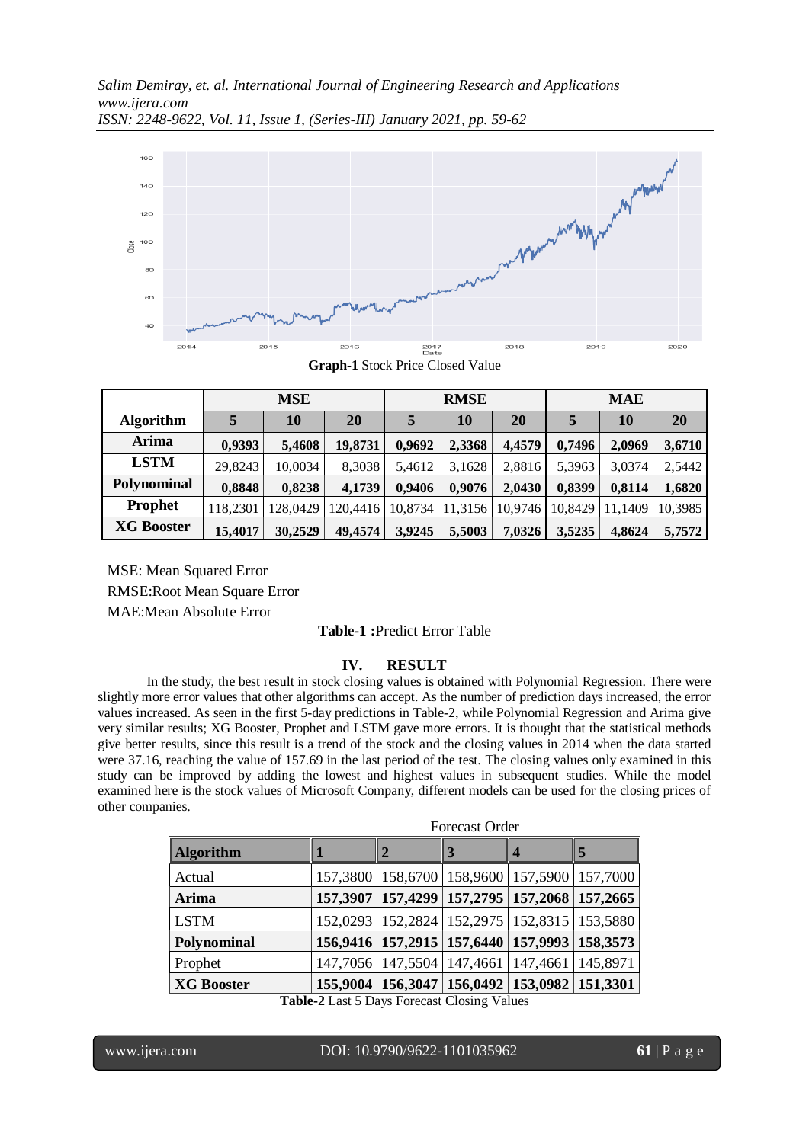*Salim Demiray, et. al. International Journal of Engineering Research and Applications www.ijera.com ISSN: 2248-9622, Vol. 11, Issue 1, (Series-III) January 2021, pp. 59-62*



**Graph-1** Stock Price Closed Value

|                   | <b>MSE</b> |          |          | <b>RMSE</b> |         |         | <b>MAE</b> |         |         |
|-------------------|------------|----------|----------|-------------|---------|---------|------------|---------|---------|
| <b>Algorithm</b>  |            | 10       | 20       |             | 10      | 20      |            | 10      | 20      |
| Arima             | 0,9393     | 5,4608   | 19,8731  | 0,9692      | 2,3368  | 4,4579  | 0,7496     | 2,0969  | 3,6710  |
| <b>LSTM</b>       | 29,8243    | 10,0034  | 8,3038   | 5,4612      | 3,1628  | 2,8816  | 5,3963     | 3,0374  | 2,5442  |
| Polynominal       | 0,8848     | 0,8238   | 4,1739   | 0,9406      | 0,9076  | 2,0430  | 0,8399     | 0,8114  | 1,6820  |
| <b>Prophet</b>    | 118.2301   | 128,0429 | 120,4416 | 10,8734     | 11,3156 | 10.9746 | 10.8429    | 11.1409 | 10,3985 |
| <b>XG Booster</b> | 15,4017    | 30,2529  | 49,4574  | 3,9245      | 5,5003  | 7,0326  | 3,5235     | 4,8624  | 5,7572  |

MSE: Mean Squared Error RMSE:Root Mean Square Error MAE:Mean Absolute Error

## **Table-1 :**Predict Error Table

## **IV. RESULT**

In the study, the best result in stock closing values is obtained with Polynomial Regression. There were slightly more error values that other algorithms can accept. As the number of prediction days increased, the error values increased. As seen in the first 5-day predictions in Table-2, while Polynomial Regression and Arima give very similar results; XG Booster, Prophet and LSTM gave more errors. It is thought that the statistical methods give better results, since this result is a trend of the stock and the closing values in 2014 when the data started were 37.16, reaching the value of 157.69 in the last period of the test. The closing values only examined in this study can be improved by adding the lowest and highest values in subsequent studies. While the model examined here is the stock values of Microsoft Company, different models can be used for the closing prices of other companies.

|                                             | Forecast Order |   |                                                           |   |   |  |  |  |  |  |
|---------------------------------------------|----------------|---|-----------------------------------------------------------|---|---|--|--|--|--|--|
| <b>Algorithm</b>                            |                | 2 | 3                                                         | 4 | 5 |  |  |  |  |  |
| Actual                                      |                |   | 157,3800   158,6700   158,9600   157,5900   157,7000      |   |   |  |  |  |  |  |
| Arima                                       |                |   | 157,3907   157,4299   157,2795   157,2068   157,2665      |   |   |  |  |  |  |  |
| <b>LSTM</b>                                 |                |   | 152,0293   152,2824   152,2975   152,8315   153,5880      |   |   |  |  |  |  |  |
| Polynominal                                 |                |   | 156,9416   157,2915   157,6440   157,9993   158,3573      |   |   |  |  |  |  |  |
| Prophet                                     |                |   | 147, 7056   147, 5504   147, 4661   147, 4661   145, 8971 |   |   |  |  |  |  |  |
| <b>XG Booster</b>                           |                |   | 155,9004   156,3047   156,0492   153,0982   151,3301      |   |   |  |  |  |  |  |
| Toble 2 Lest 5 Dave Forecast Closing Volume |                |   |                                                           |   |   |  |  |  |  |  |

**Table-2** Last 5 Days Forecast Closing Values